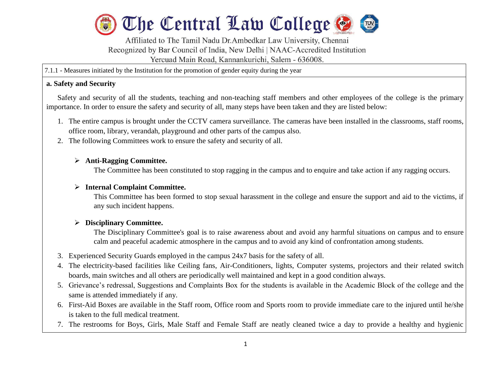

Affiliated to The Tamil Nadu Dr.Ambedkar Law University, Chennai Recognized by Bar Council of India, New Delhi | NAAC-Accredited Institution Yercuad Main Road, Kannankurichi, Salem - 636008.

7.1.1 - Measures initiated by the Institution for the promotion of gender equity during the year

#### **a. Safety and Security**

l

Safety and security of all the students, teaching and non-teaching staff members and other employees of the college is the primary importance. In order to ensure the safety and security of all, many steps have been taken and they are listed below:

- 1. The entire campus is brought under the CCTV camera surveillance. The cameras have been installed in the classrooms, staff rooms, office room, library, verandah, playground and other parts of the campus also.
- 2. The following Committees work to ensure the safety and security of all.

## **Anti-Ragging Committee.**

The Committee has been constituted to stop ragging in the campus and to enquire and take action if any ragging occurs.

### **Internal Complaint Committee.**

This Committee has been formed to stop sexual harassment in the college and ensure the support and aid to the victims, if any such incident happens.

#### **Disciplinary Committee.**

The Disciplinary Committee's goal is to raise awareness about and avoid any harmful situations on campus and to ensure calm and peaceful academic atmosphere in the campus and to avoid any kind of confrontation among students.

- 3. Experienced Security Guards employed in the campus 24x7 basis for the safety of all.
- 4. The electricity-based facilities like Ceiling fans, Air-Conditioners, lights, Computer systems, projectors and their related switch boards, main switches and all others are periodically well maintained and kept in a good condition always.
- 5. Grievance's redressal, Suggestions and Complaints Box for the students is available in the Academic Block of the college and the same is attended immediately if any.
- 6. First-Aid Boxes are available in the Staff room, Office room and Sports room to provide immediate care to the injured until he/she is taken to the full medical treatment.
- 7. The restrooms for Boys, Girls, Male Staff and Female Staff are neatly cleaned twice a day to provide a healthy and hygienic